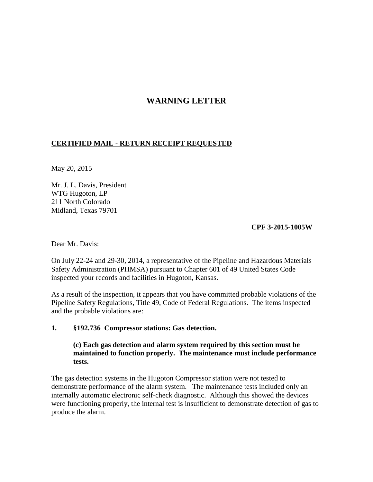# **WARNING LETTER**

## **CERTIFIED MAIL - RETURN RECEIPT REQUESTED**

May 20, 2015

Mr. J. L. Davis, President WTG Hugoton, LP 211 North Colorado Midland, Texas 79701

#### **CPF 3-2015-1005W**

Dear Mr. Davis:

On July 22-24 and 29-30, 2014, a representative of the Pipeline and Hazardous Materials Safety Administration (PHMSA) pursuant to Chapter 601 of 49 United States Code inspected your records and facilities in Hugoton, Kansas.

As a result of the inspection, it appears that you have committed probable violations of the Pipeline Safety Regulations, Title 49, Code of Federal Regulations. The items inspected and the probable violations are:

#### **1. §192.736 Compressor stations: Gas detection.**

**(c) Each gas detection and alarm system required by this section must be maintained to function properly. The maintenance must include performance tests.**

The gas detection systems in the Hugoton Compressor station were not tested to demonstrate performance of the alarm system. The maintenance tests included only an internally automatic electronic self-check diagnostic. Although this showed the devices were functioning properly, the internal test is insufficient to demonstrate detection of gas to produce the alarm.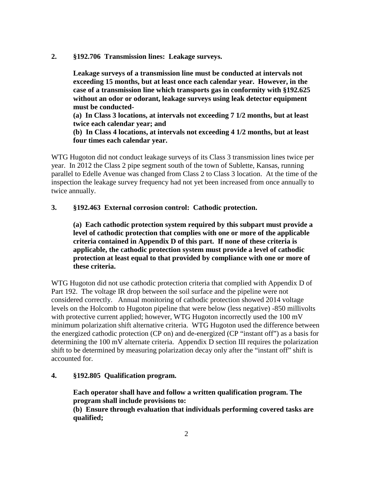**2. §192.706 Transmission lines: Leakage surveys.** 

 **Leakage surveys of a transmission line must be conducted at intervals not exceeding 15 months, but at least once each calendar year. However, in the case of a transmission line which transports gas in conformity with §192.625 without an odor or odorant, leakage surveys using leak detector equipment must be conducted-** 

 **(a) In Class 3 locations, at intervals not exceeding 7 1/2 months, but at least twice each calendar year; and**

 **(b) In Class 4 locations, at intervals not exceeding 4 1/2 months, but at least four times each calendar year.**

WTG Hugoton did not conduct leakage surveys of its Class 3 transmission lines twice per year. In 2012 the Class 2 pipe segment south of the town of Sublette, Kansas, running parallel to Edelle Avenue was changed from Class 2 to Class 3 location. At the time of the inspection the leakage survey frequency had not yet been increased from once annually to twice annually.

#### **3. §192.463 External corrosion control: Cathodic protection.**

**(a) Each cathodic protection system required by this subpart must provide a level of cathodic protection that complies with one or more of the applicable criteria contained in Appendix D of this part. If none of these criteria is applicable, the cathodic protection system must provide a level of cathodic protection at least equal to that provided by compliance with one or more of these criteria.**

WTG Hugoton did not use cathodic protection criteria that complied with Appendix D of Part 192. The voltage IR drop between the soil surface and the pipeline were not considered correctly. Annual monitoring of cathodic protection showed 2014 voltage levels on the Holcomb to Hugoton pipeline that were below (less negative) -850 millivolts with protective current applied; however, WTG Hugoton incorrectly used the 100 mV minimum polarization shift alternative criteria. WTG Hugoton used the difference between the energized cathodic protection (CP on) and de-energized (CP "instant off") as a basis for determining the 100 mV alternate criteria. Appendix D section III requires the polarization shift to be determined by measuring polarization decay only after the "instant off" shift is accounted for.

## **4. §192.805 Qualification program.**

 **Each operator shall have and follow a written qualification program. The program shall include provisions to:** 

**(b) Ensure through evaluation that individuals performing covered tasks are qualified;**